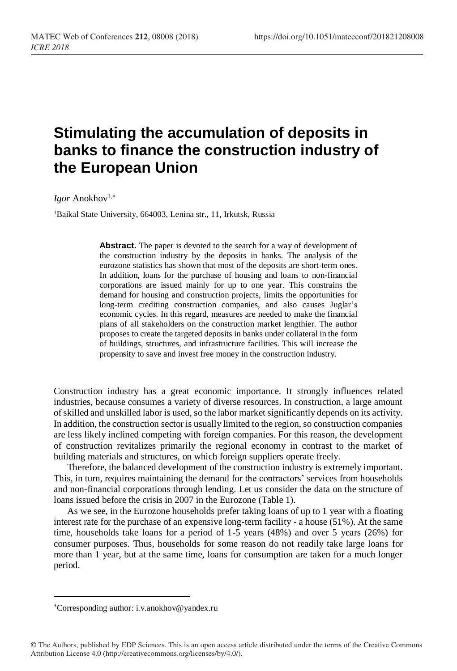## **Stimulating the accumulation of deposits in banks to finance the construction industry of the European Union**

*Igor* Anokhov<sup>1,\*</sup>

<sup>1</sup>Baikal State University, 664003, Lenina str., 11, Irkutsk, Russia

**Abstract.** The paper is devoted to the search for a way of development of the construction industry by the deposits in banks. The analysis of the eurozone statistics has shown that most of the deposits are short-term ones. In addition, loans for the purchase of housing and loans to non-financial corporations are issued mainly for up to one year. This constrains the demand for housing and construction projects, limits the opportunities for long-term crediting construction companies, and also causes Juglar's economic cycles. In this regard, measures are needed to make the financial plans of all stakeholders on the construction market lengthier. The author proposes to create the targeted deposits in banks under collateral in the form of buildings, structures, and infrastructure facilities. This will increase the propensity to save and invest free money in the construction industry.

Construction industry has a great economic importance. It strongly influences related industries, because consumes a variety of diverse resources. In construction, a large amount of skilled and unskilled labor is used, so the labor market significantly depends on its activity. In addition, the construction sector is usually limited to the region, so construction companies are less likely inclined competing with foreign companies. For this reason, the development of construction revitalizes primarily the regional economy in contrast to the market of building materials and structures, on which foreign suppliers operate freely.

Therefore, the balanced development of the construction industry is extremely important. This, in turn, requires maintaining the demand for the contractors' services from households and non-financial corporations through lending. Let us consider the data on the structure of loans issued before the crisis in 2007 in the Eurozone (Table 1).

As we see, in the Eurozone households prefer taking loans of up to 1 year with a floating interest rate for the purchase of an expensive long-term facility - a house (51%). At the same time, households take loans for a period of 1-5 years (48%) and over 5 years (26%) for consumer purposes. Thus, households for some reason do not readily take large loans for more than 1 year, but at the same time, loans for consumption are taken for a much longer period.

 $\overline{\phantom{a}}$ 

Corresponding author: [i.v.anokhov@yandex.ru](mailto:i.v.anokhov@yandex.ru)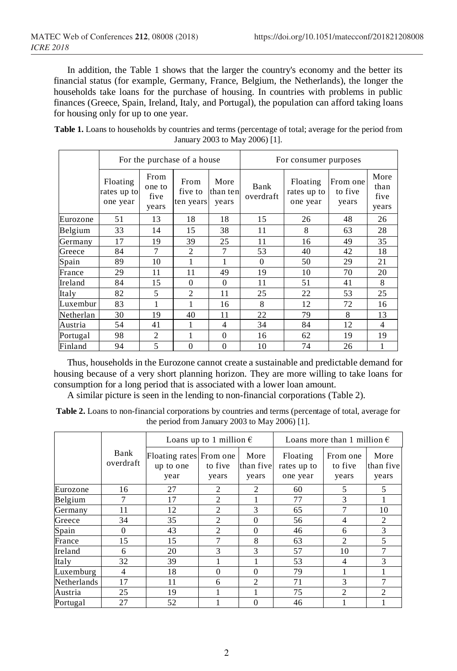In addition, the Table 1 shows that the larger the country's economy and the better its financial status (for example, Germany, France, Belgium, the Netherlands), the longer the households take loans for the purchase of housing. In countries with problems in public finances (Greece, Spain, Ireland, Italy, and Portugal), the population can afford taking loans for housing only for up to one year.

|           | For the purchase of a house         |                                 |                              |                            | For consumer purposes |                                     |                              |                               |  |
|-----------|-------------------------------------|---------------------------------|------------------------------|----------------------------|-----------------------|-------------------------------------|------------------------------|-------------------------------|--|
|           | Floating<br>rates up to<br>one year | From<br>one to<br>five<br>years | From<br>five to<br>ten years | More<br>than tenl<br>years | Bank<br>overdraft     | Floating<br>rates up to<br>one year | From one<br>to five<br>years | More<br>than<br>five<br>years |  |
| Eurozone  | 51                                  | 13                              | 18                           | 18                         | 15                    | 26                                  | 48                           | 26                            |  |
| Belgium   | 33                                  | 14                              | 15                           | 38                         | 11                    | 8                                   | 63                           | 28                            |  |
| Germany   | 17                                  | 19                              | 39                           | 25                         | 11                    | 16                                  | 49                           | 35                            |  |
| Greece    | 84                                  | 7                               | $\mathfrak{D}$               | 7                          | 53                    | 40                                  | 42                           | 18                            |  |
| Spain     | 89                                  | 10                              | 1                            | 1                          | $\Omega$              | 50                                  | 29                           | 21                            |  |
| France    | 29                                  | 11                              | 11                           | 49                         | 19                    | 10                                  | 70                           | 20                            |  |
| Ireland   | 84                                  | 15                              | $\Omega$                     | $\Omega$                   | 11                    | 51                                  | 41                           | 8                             |  |
| Italy     | 82                                  | 5                               | $\overline{2}$               | 11                         | 25                    | 22                                  | 53                           | 25                            |  |
| Luxembur  | 83                                  | 1                               | 1                            | 16                         | 8                     | 12                                  | 72                           | 16                            |  |
| Netherlan | 30                                  | 19                              | 40                           | 11                         | 22                    | 79                                  | 8                            | 13                            |  |
| Austria   | 54                                  | 41                              | 1                            | $\overline{4}$             | 34                    | 84                                  | 12                           | $\overline{4}$                |  |
| Portugal  | 98                                  | 2                               | 1                            | $\theta$                   | 16                    | 62                                  | 19                           | 19                            |  |
| Finland   | 94                                  | 5                               | $\Omega$                     | $\Omega$                   | 10                    | 74                                  | 26                           | 1                             |  |

**Table 1.** Loans to households by countries and terms (percentage of total; average for the period from January 2003 to May 2006) [1].

Thus, households in the Eurozone cannot create a sustainable and predictable demand for housing because of a very short planning horizon. They are more willing to take loans for consumption for a long period that is associated with a lower loan amount.

A similar picture is seen in the lending to non-financial corporations (Table 2).

**Table 2.** Loans to non-financial corporations by countries and terms (percentage of total, average for the period from January 2003 to May 2006) [1].

|             |                   |                                              | Loans up to 1 million $\epsilon$ |                             | Loans more than 1 million $\epsilon$ |                              |                            |  |
|-------------|-------------------|----------------------------------------------|----------------------------------|-----------------------------|--------------------------------------|------------------------------|----------------------------|--|
|             | Bank<br>overdraft | Floating rates From one<br>up to one<br>year | to five<br>years                 | More<br>than five<br>years  | Floating<br>rates up to<br>one year  | From one<br>to five<br>years | More<br>than five<br>years |  |
| Eurozone    | 16                | 27                                           | $\overline{c}$                   | 2                           | 60                                   | 5                            | 5                          |  |
| Belgium     |                   | 17                                           | $\overline{2}$                   |                             | 77                                   | 3                            |                            |  |
| Germany     | 11                | 12                                           | $\overline{c}$                   | 3                           | 65                                   | 7                            | 10                         |  |
| Greece      | 34                | 35                                           | $\overline{2}$                   | $\Omega$                    | 56                                   | 4                            | $\overline{c}$             |  |
| Spain       | $\Omega$          | 43                                           | $\overline{c}$                   | $\Omega$                    | 46                                   | 6                            | 3                          |  |
| France      | 15                | 15                                           | 7                                | 8                           | 63                                   | $\overline{c}$               | 5                          |  |
| Ireland     | 6                 | 20                                           | 3                                | 3                           | 57                                   | 10                           | 7                          |  |
| Italy       | 32                | 39                                           |                                  |                             | 53                                   | 4                            | 3                          |  |
| Luxemburg   | 4                 | 18                                           | $\Omega$                         | $\Omega$                    | 79                                   |                              |                            |  |
| Netherlands | 17                | 11                                           | 6                                | $\mathcal{D}_{\mathcal{L}}$ | 71                                   | 3                            |                            |  |
| Austria     | 25                | 19                                           |                                  |                             | 75                                   | $\overline{c}$               | $\mathfrak{D}$             |  |
| Portugal    | 27                | 52                                           |                                  | $\Omega$                    | 46                                   |                              |                            |  |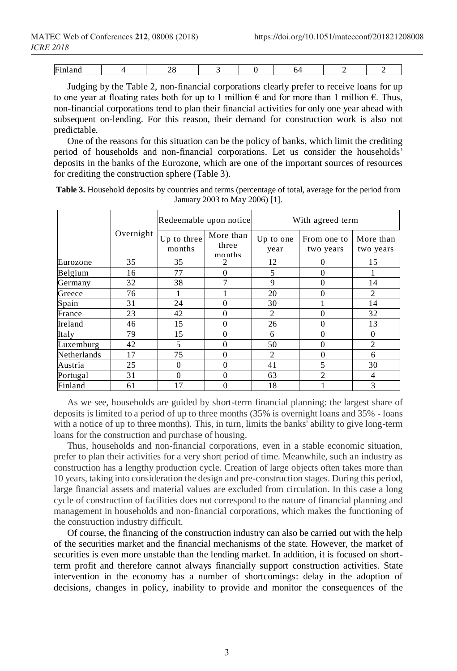| IF |  |  |  |  |
|----|--|--|--|--|

Judging by the Table 2, non-financial corporations clearly prefer to receive loans for up to one year at floating rates both for up to 1 million  $\epsilon$  and for more than 1 million  $\epsilon$ . Thus, non-financial corporations tend to plan their financial activities for only one year ahead with subsequent on-lending. For this reason, their demand for construction work is also not predictable.

One of the reasons for this situation can be the policy of banks, which limit the crediting period of households and non-financial corporations. Let us consider the households' deposits in the banks of the Eurozone, which are one of the important sources of resources for crediting the construction sphere (Table 3).

**Table 3.** Household deposits by countries and terms (percentage of total, average for the period from January 2003 to May 2006) [1].

|             |           | Redeemable upon notice |                              | With agreed term            |                          |                        |  |
|-------------|-----------|------------------------|------------------------------|-----------------------------|--------------------------|------------------------|--|
|             |           |                        |                              |                             |                          |                        |  |
|             | Overnight | Up to three<br>months  | More than<br>three<br>months | Up to one<br>year           | From one to<br>two years | More than<br>two years |  |
| Eurozone    | 35        | 35                     | 2                            | 12                          | 0                        | 15                     |  |
| Belgium     | 16        | 77                     | $\Omega$                     | 5                           | $\Omega$                 |                        |  |
| Germany     | 32        | 38                     | 7                            | 9                           | $\Omega$                 | 14                     |  |
| Greece      | 76        |                        |                              | 20                          | 0                        | $\mathfrak{D}$         |  |
| Spain       | 31        | 24                     | $\theta$                     | 30                          |                          | 14                     |  |
| France      | 23        | 42                     | $\overline{0}$               | $\overline{c}$              | $\overline{0}$           | 32                     |  |
| Ireland     | 46        | 15                     | $\Omega$                     | 26                          | $\Omega$                 | 13                     |  |
| Italy       | 79        | 15                     | $\Omega$                     | 6                           | $\theta$                 | $\Omega$               |  |
| Luxemburg   | 42        | 5                      | $\Omega$                     | 50                          | $\theta$                 | 2                      |  |
| Netherlands | 17        | 75                     | $\Omega$                     | $\mathcal{D}_{\mathcal{L}}$ | $\overline{0}$           | 6                      |  |
| Austria     | 25        | $\Omega$               | $\Omega$                     | 41                          | 5                        | 30                     |  |
| Portugal    | 31        | $\Omega$               | $\Omega$                     | 63                          | $\overline{c}$           | 4                      |  |
| Finland     | 61        | 17                     | $\Omega$                     | 18                          |                          | 3                      |  |

As we see, households are guided by short-term financial planning: the largest share of deposits is limited to a period of up to three months (35% is overnight loans and 35% - loans with a notice of up to three months). This, in turn, limits the banks' ability to give long-term loans for the construction and purchase of housing.

Thus, households and non-financial corporations, even in a stable economic situation, prefer to plan their activities for a very short period of time. Meanwhile, such an industry as construction has a lengthy production cycle. Creation of large objects often takes more than 10 years, taking into consideration the design and pre-construction stages. During this period, large financial assets and material values are excluded from circulation. In this case a long cycle of construction of facilities does not correspond to the nature of financial planning and management in households and non-financial corporations, which makes the functioning of the construction industry difficult.

Of course, the financing of the construction industry can also be carried out with the help of the securities market and the financial mechanisms of the state. However, the market of securities is even more unstable than the lending market. In addition, it is focused on shortterm profit and therefore cannot always financially support construction activities. State intervention in the economy has a number of shortcomings: delay in the adoption of decisions, changes in policy, inability to provide and monitor the consequences of the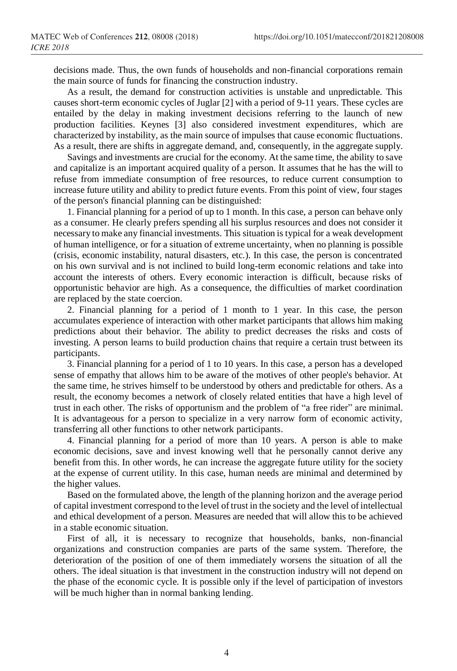decisions made. Thus, the own funds of households and non-financial corporations remain the main source of funds for financing the construction industry.

As a result, the demand for construction activities is unstable and unpredictable. This causes short-term economic cycles of Juglar [2] with a period of 9-11 years. These cycles are entailed by the delay in making investment decisions referring to the launch of new production facilities. Keynes [3] also considered investment expenditures, which are characterized by instability, as the main source of impulses that cause economic fluctuations. As a result, there are shifts in aggregate demand, and, consequently, in the aggregate supply.

Savings and investments are crucial for the economy. At the same time, the ability to save and capitalize is an important acquired quality of a person. It assumes that he has the will to refuse from immediate consumption of free resources, to reduce current consumption to increase future utility and ability to predict future events. From this point of view, four stages of the person's financial planning can be distinguished:

1. Financial planning for a period of up to 1 month. In this case, a person can behave only as a consumer. He clearly prefers spending all his surplus resources and does not consider it necessary to make any financial investments. This situation is typical for a weak development of human intelligence, or for a situation of extreme uncertainty, when no planning is possible (crisis, economic instability, natural disasters, etc.). In this case, the person is concentrated on his own survival and is not inclined to build long-term economic relations and take into account the interests of others. Every economic interaction is difficult, because risks of opportunistic behavior are high. As a consequence, the difficulties of market coordination are replaced by the state coercion.

2. Financial planning for a period of 1 month to 1 year. In this case, the person accumulates experience of interaction with other market participants that allows him making predictions about their behavior. The ability to predict decreases the risks and costs of investing. A person learns to build production chains that require a certain trust between its participants.

3. Financial planning for a period of 1 to 10 years. In this case, a person has a developed sense of empathy that allows him to be aware of the motives of other people's behavior. At the same time, he strives himself to be understood by others and predictable for others. As a result, the economy becomes a network of closely related entities that have a high level of trust in each other. The risks of opportunism and the problem of "a free rider" are minimal. It is advantageous for a person to specialize in a very narrow form of economic activity, transferring all other functions to other network participants.

4. Financial planning for a period of more than 10 years. A person is able to make economic decisions, save and invest knowing well that he personally cannot derive any benefit from this. In other words, he can increase the aggregate future utility for the society at the expense of current utility. In this case, human needs are minimal and determined by the higher values.

Based on the formulated above, the length of the planning horizon and the average period of capital investment correspond to the level of trust in the society and the level of intellectual and ethical development of a person. Measures are needed that will allow this to be achieved in a stable economic situation.

First of all, it is necessary to recognize that households, banks, non-financial organizations and construction companies are parts of the same system. Therefore, the deterioration of the position of one of them immediately worsens the situation of all the others. The ideal situation is that investment in the construction industry will not depend on the phase of the economic cycle. It is possible only if the level of participation of investors will be much higher than in normal banking lending.